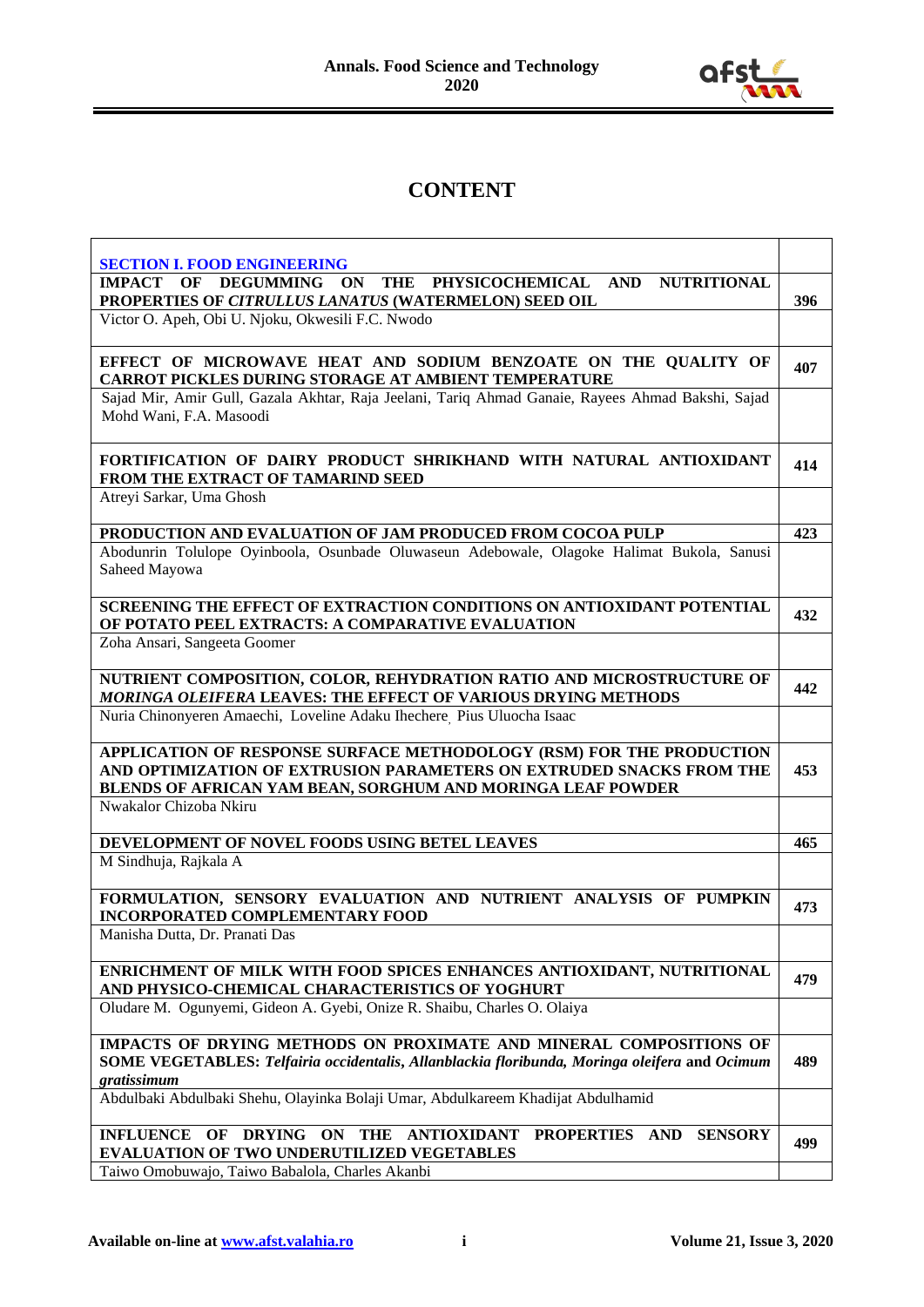

## **CONTENT**

| <b>SECTION I. FOOD ENGINEERING</b><br>ON THE PHYSICOCHEMICAL<br><b>DEGUMMING</b><br>AND NUTRITIONAL<br><b>IMPACT</b><br>OF                                                                                  |     |
|-------------------------------------------------------------------------------------------------------------------------------------------------------------------------------------------------------------|-----|
| PROPERTIES OF CITRULLUS LANATUS (WATERMELON) SEED OIL                                                                                                                                                       | 396 |
| Victor O. Apeh, Obi U. Njoku, Okwesili F.C. Nwodo                                                                                                                                                           |     |
| EFFECT OF MICROWAVE HEAT AND SODIUM BENZOATE ON THE QUALITY OF<br><b>CARROT PICKLES DURING STORAGE AT AMBIENT TEMPERATURE</b>                                                                               | 407 |
| Sajad Mir, Amir Gull, Gazala Akhtar, Raja Jeelani, Tariq Ahmad Ganaie, Rayees Ahmad Bakshi, Sajad<br>Mohd Wani, F.A. Masoodi                                                                                |     |
| FORTIFICATION OF DAIRY PRODUCT SHRIKHAND WITH NATURAL ANTIOXIDANT<br>FROM THE EXTRACT OF TAMARIND SEED                                                                                                      | 414 |
| Atreyi Sarkar, Uma Ghosh                                                                                                                                                                                    |     |
| PRODUCTION AND EVALUATION OF JAM PRODUCED FROM COCOA PULP                                                                                                                                                   | 423 |
| Abodunrin Tolulope Oyinboola, Osunbade Oluwaseun Adebowale, Olagoke Halimat Bukola, Sanusi<br>Saheed Mayowa                                                                                                 |     |
| SCREENING THE EFFECT OF EXTRACTION CONDITIONS ON ANTIOXIDANT POTENTIAL<br>OF POTATO PEEL EXTRACTS: A COMPARATIVE EVALUATION                                                                                 | 432 |
| Zoha Ansari, Sangeeta Goomer                                                                                                                                                                                |     |
| NUTRIENT COMPOSITION, COLOR, REHYDRATION RATIO AND MICROSTRUCTURE OF<br><b>MORINGA OLEIFERA LEAVES: THE EFFECT OF VARIOUS DRYING METHODS</b>                                                                | 442 |
| Nuria Chinonyeren Amaechi, Loveline Adaku Ihechere Pius Uluocha Isaac                                                                                                                                       |     |
| APPLICATION OF RESPONSE SURFACE METHODOLOGY (RSM) FOR THE PRODUCTION<br>AND OPTIMIZATION OF EXTRUSION PARAMETERS ON EXTRUDED SNACKS FROM THE<br>BLENDS OF AFRICAN YAM BEAN, SORGHUM AND MORINGA LEAF POWDER | 453 |
| Nwakalor Chizoba Nkiru                                                                                                                                                                                      |     |
| DEVELOPMENT OF NOVEL FOODS USING BETEL LEAVES                                                                                                                                                               | 465 |
| M Sindhuja, Rajkala A                                                                                                                                                                                       |     |
| FORMULATION, SENSORY EVALUATION AND NUTRIENT ANALYSIS OF PUMPKIN<br><b>INCORPORATED COMPLEMENTARY FOOD</b>                                                                                                  | 473 |
| Manisha Dutta, Dr. Pranati Das                                                                                                                                                                              |     |
| ENRICHMENT OF MILK WITH FOOD SPICES ENHANCES ANTIOXIDANT, NUTRITIONAL<br>AND PHYSICO-CHEMICAL CHARACTERISTICS OF YOGHURT                                                                                    | 479 |
| Oludare M. Ogunyemi, Gideon A. Gyebi, Onize R. Shaibu, Charles O. Olaiya                                                                                                                                    |     |
| IMPACTS OF DRYING METHODS ON PROXIMATE AND MINERAL COMPOSITIONS OF<br>SOME VEGETABLES: Telfairia occidentalis, Allanblackia floribunda, Moringa oleifera and Ocimum<br>gratissimum                          | 489 |
| Abdulbaki Abdulbaki Shehu, Olayinka Bolaji Umar, Abdulkareem Khadijat Abdulhamid                                                                                                                            |     |
| INFLUENCE OF DRYING ON THE ANTIOXIDANT<br>PROPERTIES AND<br><b>SENSORY</b><br>EVALUATION OF TWO UNDERUTILIZED VEGETABLES                                                                                    | 499 |
| Taiwo Omobuwajo, Taiwo Babalola, Charles Akanbi                                                                                                                                                             |     |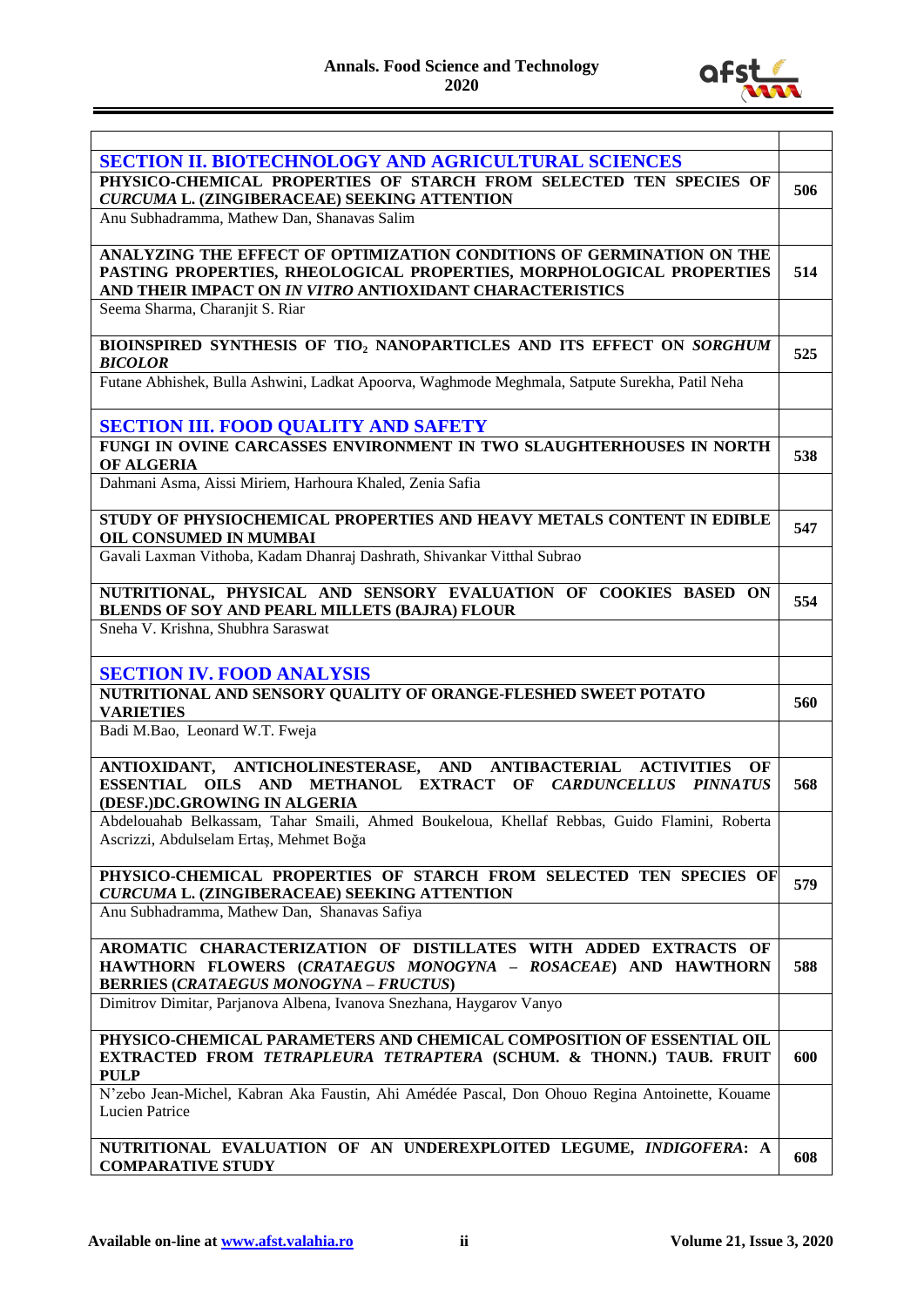

| <b>SECTION II. BIOTECHNOLOGY AND AGRICULTURAL SCIENCES</b>                                     |     |
|------------------------------------------------------------------------------------------------|-----|
| PHYSICO-CHEMICAL PROPERTIES OF STARCH FROM SELECTED TEN SPECIES OF                             | 506 |
| CURCUMA L. (ZINGIBERACEAE) SEEKING ATTENTION                                                   |     |
| Anu Subhadramma, Mathew Dan, Shanavas Salim                                                    |     |
|                                                                                                |     |
| ANALYZING THE EFFECT OF OPTIMIZATION CONDITIONS OF GERMINATION ON THE                          |     |
| PASTING PROPERTIES, RHEOLOGICAL PROPERTIES, MORPHOLOGICAL PROPERTIES                           | 514 |
| AND THEIR IMPACT ON IN VITRO ANTIOXIDANT CHARACTERISTICS                                       |     |
| Seema Sharma, Charanjit S. Riar                                                                |     |
|                                                                                                |     |
| BIOINSPIRED SYNTHESIS OF TIO2 NANOPARTICLES AND ITS EFFECT ON SORGHUM                          |     |
| <b>BICOLOR</b>                                                                                 | 525 |
|                                                                                                |     |
| Futane Abhishek, Bulla Ashwini, Ladkat Apoorva, Waghmode Meghmala, Satpute Surekha, Patil Neha |     |
|                                                                                                |     |
| <b>SECTION III. FOOD QUALITY AND SAFETY</b>                                                    |     |
| FUNGI IN OVINE CARCASSES ENVIRONMENT IN TWO SLAUGHTERHOUSES IN NORTH                           |     |
| OF ALGERIA                                                                                     | 538 |
| Dahmani Asma, Aissi Miriem, Harhoura Khaled, Zenia Safia                                       |     |
|                                                                                                |     |
|                                                                                                |     |
| STUDY OF PHYSIOCHEMICAL PROPERTIES AND HEAVY METALS CONTENT IN EDIBLE                          | 547 |
| OIL CONSUMED IN MUMBAI                                                                         |     |
| Gavali Laxman Vithoba, Kadam Dhanraj Dashrath, Shivankar Vitthal Subrao                        |     |
|                                                                                                |     |
| NUTRITIONAL, PHYSICAL AND SENSORY EVALUATION OF COOKIES BASED ON                               | 554 |
| <b>BLENDS OF SOY AND PEARL MILLETS (BAJRA) FLOUR</b>                                           |     |
| Sneha V. Krishna, Shubhra Saraswat                                                             |     |
|                                                                                                |     |
| <b>SECTION IV. FOOD ANALYSIS</b>                                                               |     |
| NUTRITIONAL AND SENSORY QUALITY OF ORANGE-FLESHED SWEET POTATO                                 |     |
|                                                                                                | 560 |
| <b>VARIETIES</b>                                                                               |     |
| Badi M.Bao, Leonard W.T. Fweia                                                                 |     |
|                                                                                                |     |
| ANTIOXIDANT, ANTICHOLINESTERASE, AND ANTIBACTERIAL ACTIVITIES<br>OF                            |     |
| ESSENTIAL OILS AND METHANOL EXTRACT OF CARDUNCELLUS PINNATUS                                   | 568 |
| (DESF.)DC.GROWING IN ALGERIA                                                                   |     |
| Abdelouahab Belkassam, Tahar Smaili, Ahmed Boukeloua, Khellaf Rebbas, Guido Flamini, Roberta   |     |
| Ascrizzi, Abdulselam Ertaş, Mehmet Boğa                                                        |     |
|                                                                                                |     |
| PHYSICO-CHEMICAL PROPERTIES OF STARCH FROM SELECTED TEN SPECIES OF                             | 579 |
| CURCUMA L. (ZINGIBERACEAE) SEEKING ATTENTION                                                   |     |
| Anu Subhadramma, Mathew Dan, Shanavas Safiya                                                   |     |
|                                                                                                |     |
| AROMATIC CHARACTERIZATION OF DISTILLATES WITH ADDED EXTRACTS OF                                |     |
| HAWTHORN FLOWERS (CRATAEGUS MONOGYNA - ROSACEAE) AND HAWTHORN                                  | 588 |
| <b>BERRIES (CRATAEGUS MONOGYNA - FRUCTUS)</b>                                                  |     |
| Dimitrov Dimitar, Parjanova Albena, Ivanova Snezhana, Haygarov Vanyo                           |     |
|                                                                                                |     |
| PHYSICO-CHEMICAL PARAMETERS AND CHEMICAL COMPOSITION OF ESSENTIAL OIL                          |     |
| EXTRACTED FROM TETRAPLEURA TETRAPTERA (SCHUM. & THONN.) TAUB. FRUIT                            | 600 |
| <b>PULP</b>                                                                                    |     |
|                                                                                                |     |
| N'zebo Jean-Michel, Kabran Aka Faustin, Ahi Amédée Pascal, Don Ohouo Regina Antoinette, Kouame |     |
| Lucien Patrice                                                                                 |     |
|                                                                                                |     |
|                                                                                                |     |
| NUTRITIONAL EVALUATION OF AN UNDEREXPLOITED LEGUME, INDIGOFERA: A<br><b>COMPARATIVE STUDY</b>  | 608 |